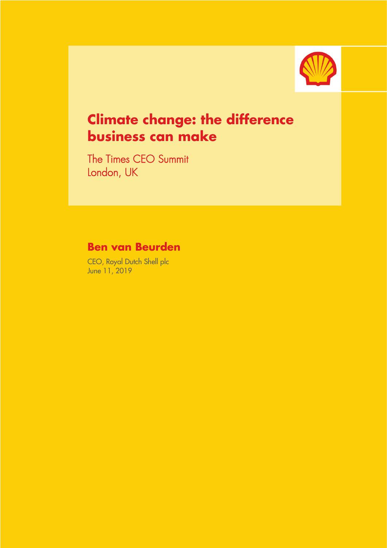

# **Climate change: the difference business can make** Ī

The Times CEO Summit London, UK

## **Ben van Beurden**

CEO, Royal Dutch Shell plc June 11, 2019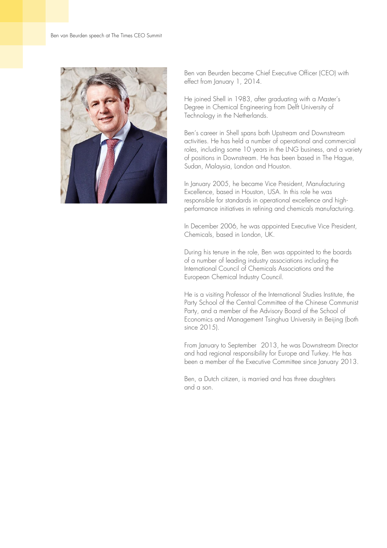

Ben van Beurden became Chief Executive Officer (CEO) with effect from January 1, 2014.

He joined Shell in 1983, after graduating with a Master's Degree in Chemical Engineering from Delft University of Technology in the Netherlands.

Ben's career in Shell spans both Upstream and Downstream activities. He has held a number of operational and commercial roles, including some 10 years in the LNG business, and a variety of positions in Downstream. He has been based in The Hague, Sudan, Malaysia, London and Houston.

In January 2005, he became Vice President, Manufacturing Excellence, based in Houston, USA. In this role he was responsible for standards in operational excellence and highperformance initiatives in refining and chemicals manufacturing.

In December 2006, he was appointed Executive Vice President, Chemicals, based in London, UK.

During his tenure in the role, Ben was appointed to the boards of a number of leading industry associations including the International Council of Chemicals Associations and the European Chemical Industry Council.

He is a visiting Professor of the International Studies Institute, the Party School of the Central Committee of the Chinese Communist Party, and a member of the Advisory Board of the School of Economics and Management Tsinghua University in Beijing (both since 2015).

From January to September 2013, he was Downstream Director and had regional responsibility for Europe and Turkey. He has been a member of the Executive Committee since January 2013.

Ben, a Dutch citizen, is married and has three daughters and a son.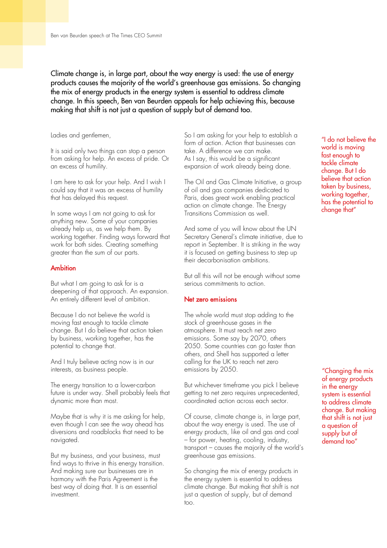Climate change is, in large part, about the way energy is used: the use of energy products causes the majority of the world's greenhouse gas emissions. So changing the mix of energy products in the energy system is essential to address climate change. In this speech, Ben van Beurden appeals for help achieving this, because making that shift is not just a question of supply but of demand too.

#### Ladies and gentlemen,

It is said only two things can stop a person from asking for help. An excess of pride. Or an excess of humility.

I am here to ask for your help. And I wish I could say that it was an excess of humility that has delayed this request.

In some ways I am not going to ask for anything new. Some of your companies already help us, as we help them. By working together. Finding ways forward that work for both sides. Creating something greater than the sum of our parts.

#### Ambition

But what I am going to ask for is a deepening of that approach. An expansion. An entirely different level of ambition.

Because I do not believe the world is moving fast enough to tackle climate change. But I do believe that action taken by business, working together, has the potential to change that.

And I truly believe acting now is in our interests, as business people.

The energy transition to a lower-carbon future is under way. Shell probably feels that dynamic more than most.

Maybe that is why it is me asking for help, even though I can see the way ahead has diversions and roadblocks that need to be navigated.

But my business, and your business, must find ways to thrive in this energy transition. And making sure our businesses are in harmony with the Paris Agreement is the best way of doing that. It is an essential investment.

So I am asking for your help to establish a form of action. Action that businesses can take. A difference we can make. As I say, this would be a significant expansion of work already being done.

The Oil and Gas Climate Initiative, a group of oil and gas companies dedicated to Paris, does great work enabling practical action on climate change. The Energy Transitions Commission as well.

And some of you will know about the UN Secretary General's climate initiative, due to report in September. It is striking in the way it is focused on getting business to step up their decarbonisation ambitions.

But all this will not be enough without some serious commitments to action.

#### Net zero emissions

The whole world must stop adding to the stock of greenhouse gases in the atmosphere. It must reach net zero emissions. Some say by 2070, others 2050. Some countries can go faster than others, and Shell has supported a letter calling for the UK to reach net zero emissions by 2050.

But whichever timeframe you pick I believe getting to net zero requires unprecedented, coordinated action across each sector.

Of course, climate change is, in large part, about the way energy is used. The use of energy products, like oil and gas and coal – for power, heating, cooling, industry, transport – causes the majority of the world's greenhouse gas emissions.

So changing the mix of energy products in the energy system is essential to address climate change. But making that shift is not just a question of supply, but of demand too.

"I do not believe the world is moving fast enough to tackle climate change. But I do believe that action taken by business, working together, has the potential to change that"

"Changing the mix of energy products in the energy system is essential to address climate change. But making that shift is not just a question of supply but of demand too"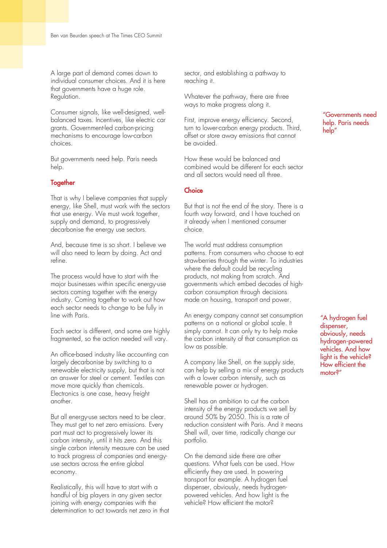A large part of demand comes down to individual consumer choices. And it is here that governments have a huge role. Regulation.

Consumer signals, like well-designed, wellbalanced taxes. Incentives, like electric car grants. Government-led carbon-pricing mechanisms to encourage low-carbon choices.

But governments need help. Paris needs help.

#### **Together**

That is why I believe companies that supply energy, like Shell, must work with the sectors that use energy. We must work together, supply and demand, to progressively decarbonise the energy use sectors.

And, because time is so short. I believe we will also need to learn by doing. Act and refine.

The process would have to start with the major businesses within specific energy-use sectors coming together with the energy industry. Coming together to work out how each sector needs to change to be fully in line with Paris.

Each sector is different, and some are highly fragmented, so the action needed will vary.

An office-based industry like accounting can largely decarbonise by switching to a renewable electricity supply, but that is not an answer for steel or cement. Textiles can move more quickly than chemicals. Electronics is one case, heavy freight another.

But all energy-use sectors need to be clear. They must get to net zero emissions. Every part must act to progressively lower its carbon intensity, until it hits zero. And this single carbon intensity measure can be used to track progress of companies and energyuse sectors across the entire global economy.

Realistically, this will have to start with a handful of big players in any given sector joining with energy companies with the determination to act towards net zero in that sector, and establishing a pathway to reaching it.

Whatever the pathway, there are three ways to make progress along it.

First, improve energy efficiency. Second, turn to lower-carbon energy products. Third, offset or store away emissions that cannot be avoided.

How these would be balanced and combined would be different for each sector and all sectors would need all three.

#### **Choice**

But that is not the end of the story. There is a fourth way forward, and I have touched on it already when I mentioned consumer choice.

The world must address consumption patterns. From consumers who choose to eat strawberries through the winter. To industries where the default could be recycling products, not making from scratch. And governments which embed decades of highcarbon consumption through decisions made on housing, transport and power.

An energy company cannot set consumption patterns on a national or global scale. It simply cannot. It can only try to help make the carbon intensity of that consumption as low as possible.

A company like Shell, on the supply side, can help by selling a mix of energy products with a lower carbon intensity, such as renewable power or hydrogen.

Shell has an ambition to cut the carbon intensity of the energy products we sell by around 50% by 2050. This is a rate of reduction consistent with Paris. And it means Shell will, over time, radically change our portfolio.

On the demand side there are other questions. What fuels can be used. How efficiently they are used. In powering transport for example. A hydrogen fuel dispenser, obviously, needs hydrogenpowered vehicles. And how light is the vehicle? How efficient the motor?

"Governments need help. Paris needs help"

"A hydrogen fuel dispenser, obviously, needs hydrogen-powered vehicles. And how light is the vehicle? How efficient the motor?"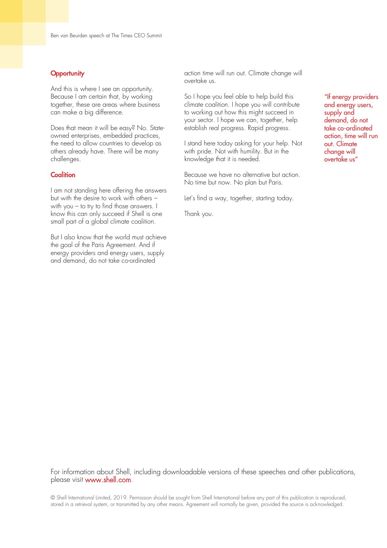#### **Opportunity**

And this is where I see an opportunity. Because I am certain that, by working together, these are areas where business can make a big difference.

Does that mean it will be easy? No. Stateowned enterprises, embedded practices, the need to allow countries to develop as others already have. There will be many challenges.

### **Coalition**

I am not standing here offering the answers but with the desire to work with others – with you – to try to find those answers. I know this can only succeed if Shell is one small part of a global climate coalition.

But I also know that the world must achieve the goal of the Paris Agreement. And if energy providers and energy users, supply and demand, do not take co-ordinated

action time will run out. Climate change will overtake us.

So I hope you feel able to help build this climate coalition. I hope you will contribute to working out how this might succeed in your sector. I hope we can, together, help establish real progress. Rapid progress.

I stand here today asking for your help. Not with pride. Not with humility. But in the knowledge that it is needed.

Because we have no alternative but action. No time but now. No plan but Paris.

Let's find a way, together, starting today.

Thank you.

"If energy providers and energy users, supply and demand, do not take co-ordinated action, time will run out. Climate change will overtake us"

For information about Shell, including downloadable versions of these speeches and other publications, please visit www.shell.com.

© Shell International Limited, 2019. Permission should be sought from Shell International before any part of this publication is reproduced, stored in a retrieval system, or transmitted by any other means. Agreement will normally be given, provided the source is acknowledged.